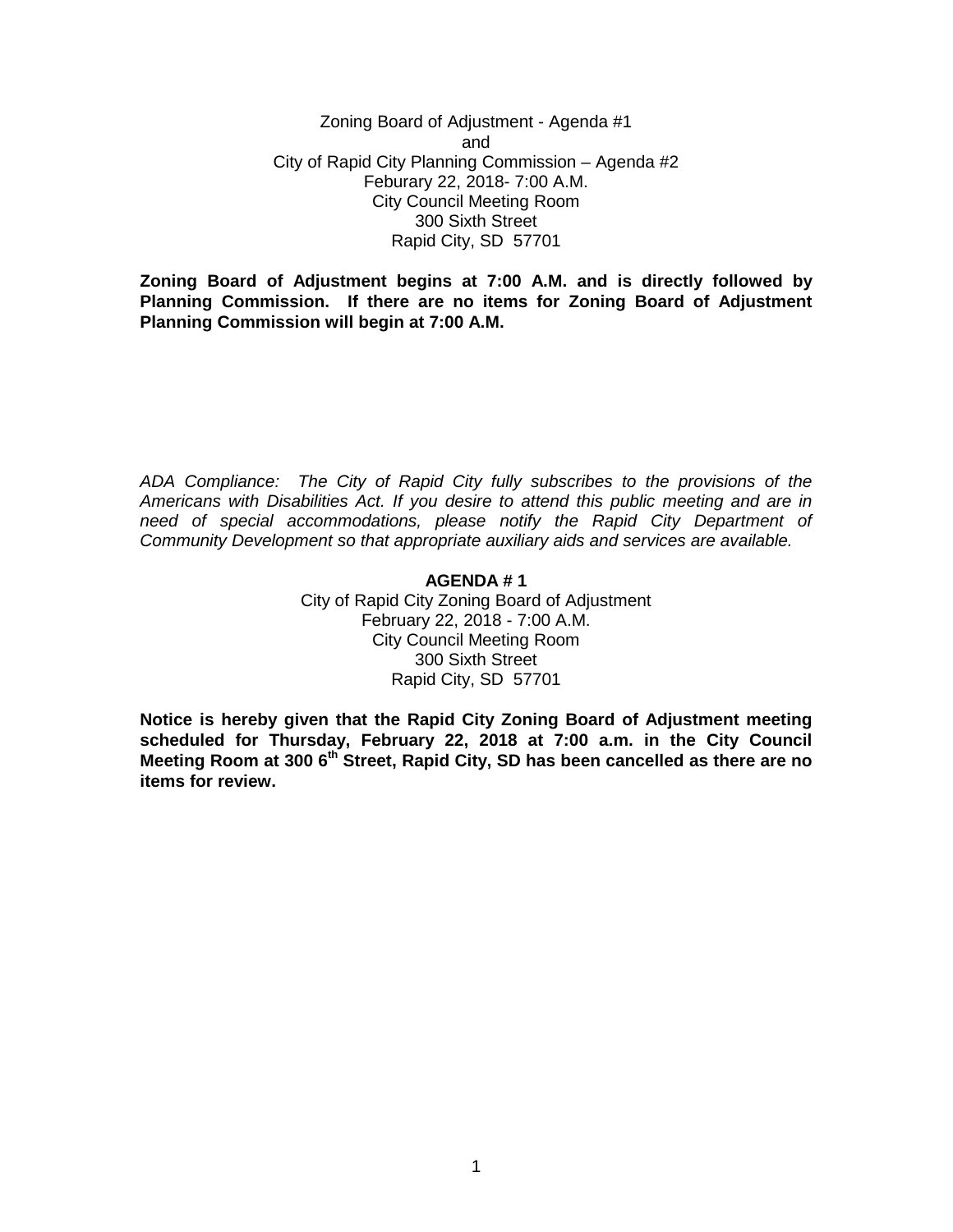Zoning Board of Adjustment - Agenda #1 and City of Rapid City Planning Commission – Agenda #2 Feburary 22, 2018- 7:00 A.M. City Council Meeting Room 300 Sixth Street Rapid City, SD 57701

**Zoning Board of Adjustment begins at 7:00 A.M. and is directly followed by Planning Commission. If there are no items for Zoning Board of Adjustment Planning Commission will begin at 7:00 A.M.**

*ADA Compliance: The City of Rapid City fully subscribes to the provisions of the Americans with Disabilities Act. If you desire to attend this public meeting and are in need of special accommodations, please notify the Rapid City Department of Community Development so that appropriate auxiliary aids and services are available.*

#### **AGENDA # 1**

City of Rapid City Zoning Board of Adjustment February 22, 2018 - 7:00 A.M. City Council Meeting Room 300 Sixth Street Rapid City, SD 57701

**Notice is hereby given that the Rapid City Zoning Board of Adjustment meeting scheduled for Thursday, February 22, 2018 at 7:00 a.m. in the City Council Meeting Room at 300 6th Street, Rapid City, SD has been cancelled as there are no items for review.**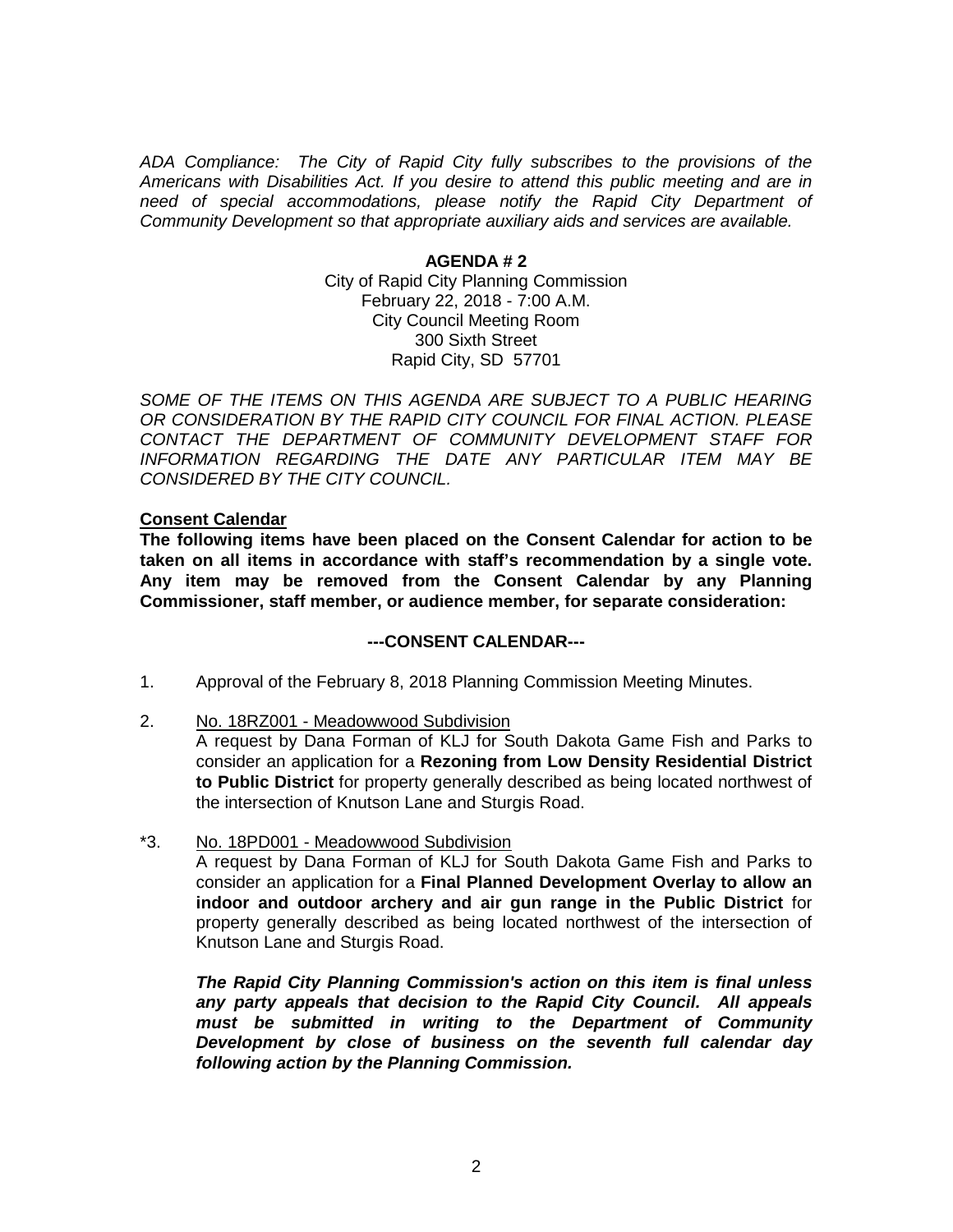*ADA Compliance: The City of Rapid City fully subscribes to the provisions of the Americans with Disabilities Act. If you desire to attend this public meeting and are in need of special accommodations, please notify the Rapid City Department of Community Development so that appropriate auxiliary aids and services are available.*

### **AGENDA # 2**

City of Rapid City Planning Commission February 22, 2018 - 7:00 A.M. City Council Meeting Room 300 Sixth Street Rapid City, SD 57701

SOME OF THE ITEMS ON THIS AGENDA ARE SUBJECT TO A PUBLIC HEARING *OR CONSIDERATION BY THE RAPID CITY COUNCIL FOR FINAL ACTION. PLEASE CONTACT THE DEPARTMENT OF COMMUNITY DEVELOPMENT STAFF FOR INFORMATION REGARDING THE DATE ANY PARTICULAR ITEM MAY BE CONSIDERED BY THE CITY COUNCIL.*

#### **Consent Calendar**

**The following items have been placed on the Consent Calendar for action to be taken on all items in accordance with staff's recommendation by a single vote. Any item may be removed from the Consent Calendar by any Planning Commissioner, staff member, or audience member, for separate consideration:**

### **---CONSENT CALENDAR---**

- 1. Approval of the February 8, 2018 Planning Commission Meeting Minutes.
- 2. No. 18RZ001 Meadowwood Subdivision

A request by Dana Forman of KLJ for South Dakota Game Fish and Parks to consider an application for a **Rezoning from Low Density Residential District to Public District** for property generally described as being located northwest of the intersection of Knutson Lane and Sturgis Road.

\*3. No. 18PD001 - Meadowwood Subdivision

A request by Dana Forman of KLJ for South Dakota Game Fish and Parks to consider an application for a **Final Planned Development Overlay to allow an indoor and outdoor archery and air gun range in the Public District** for property generally described as being located northwest of the intersection of Knutson Lane and Sturgis Road.

*The Rapid City Planning Commission's action on this item is final unless any party appeals that decision to the Rapid City Council. All appeals must be submitted in writing to the Department of Community Development by close of business on the seventh full calendar day following action by the Planning Commission.*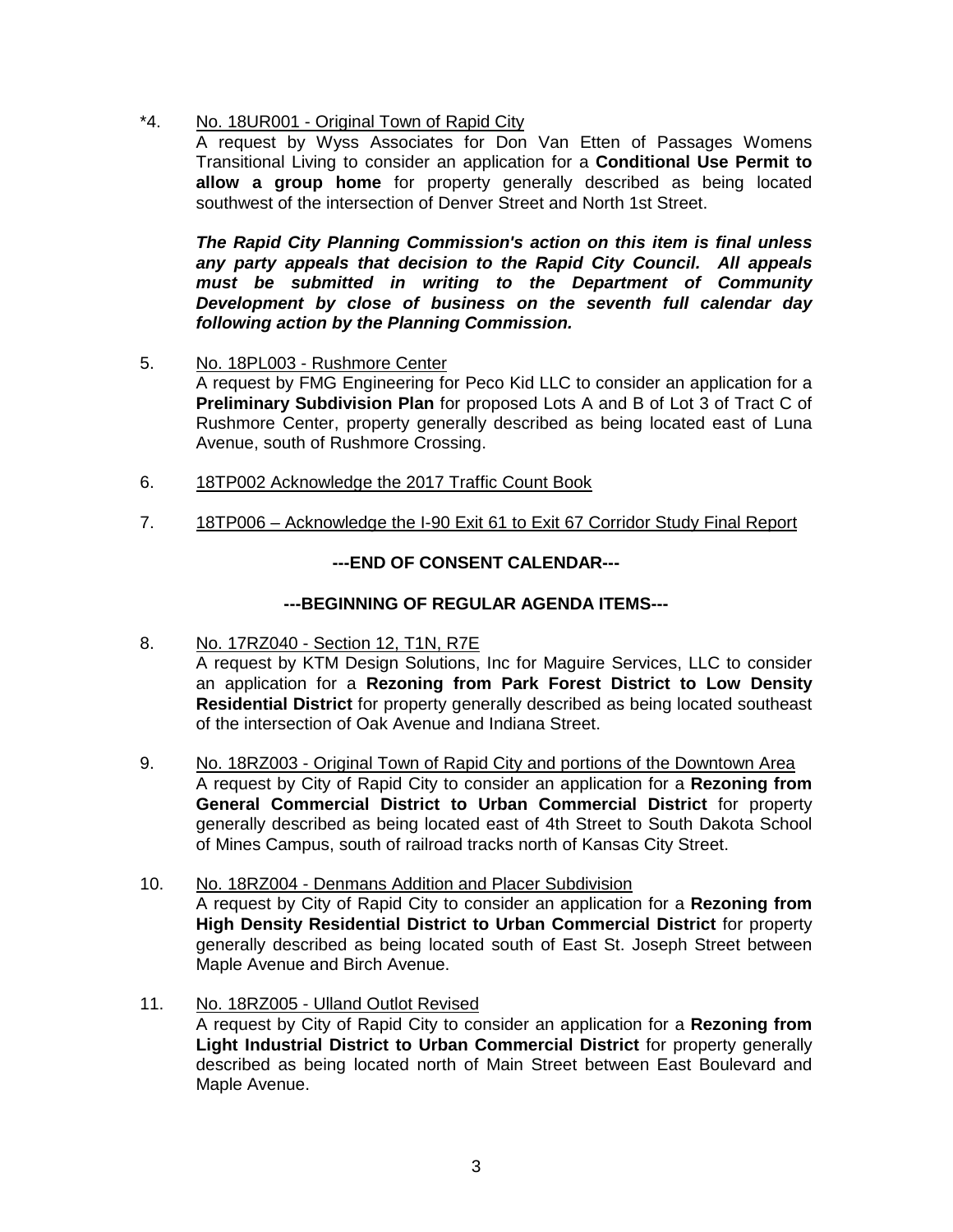\*4. No. 18UR001 - Original Town of Rapid City

A request by Wyss Associates for Don Van Etten of Passages Womens Transitional Living to consider an application for a **Conditional Use Permit to allow a group home** for property generally described as being located southwest of the intersection of Denver Street and North 1st Street.

*The Rapid City Planning Commission's action on this item is final unless any party appeals that decision to the Rapid City Council. All appeals must be submitted in writing to the Department of Community Development by close of business on the seventh full calendar day following action by the Planning Commission.*

5. No. 18PL003 - Rushmore Center

A request by FMG Engineering for Peco Kid LLC to consider an application for a **Preliminary Subdivision Plan** for proposed Lots A and B of Lot 3 of Tract C of Rushmore Center, property generally described as being located east of Luna Avenue, south of Rushmore Crossing.

- 6. 18TP002 Acknowledge the 2017 Traffic Count Book
- 7. 18TP006 Acknowledge the I-90 Exit 61 to Exit 67 Corridor Study Final Report

# **---END OF CONSENT CALENDAR---**

# **---BEGINNING OF REGULAR AGENDA ITEMS---**

- 8. No. 17RZ040 Section 12, T1N, R7E A request by KTM Design Solutions, Inc for Maguire Services, LLC to consider an application for a **Rezoning from Park Forest District to Low Density Residential District** for property generally described as being located southeast of the intersection of Oak Avenue and Indiana Street.
- 9. No. 18RZ003 Original Town of Rapid City and portions of the Downtown Area A request by City of Rapid City to consider an application for a **Rezoning from General Commercial District to Urban Commercial District** for property generally described as being located east of 4th Street to South Dakota School of Mines Campus, south of railroad tracks north of Kansas City Street.
- 10. No. 18RZ004 Denmans Addition and Placer Subdivision A request by City of Rapid City to consider an application for a **Rezoning from High Density Residential District to Urban Commercial District** for property generally described as being located south of East St. Joseph Street between Maple Avenue and Birch Avenue.
- 11. No. 18RZ005 Ulland Outlot Revised A request by City of Rapid City to consider an application for a **Rezoning from Light Industrial District to Urban Commercial District** for property generally described as being located north of Main Street between East Boulevard and Maple Avenue.